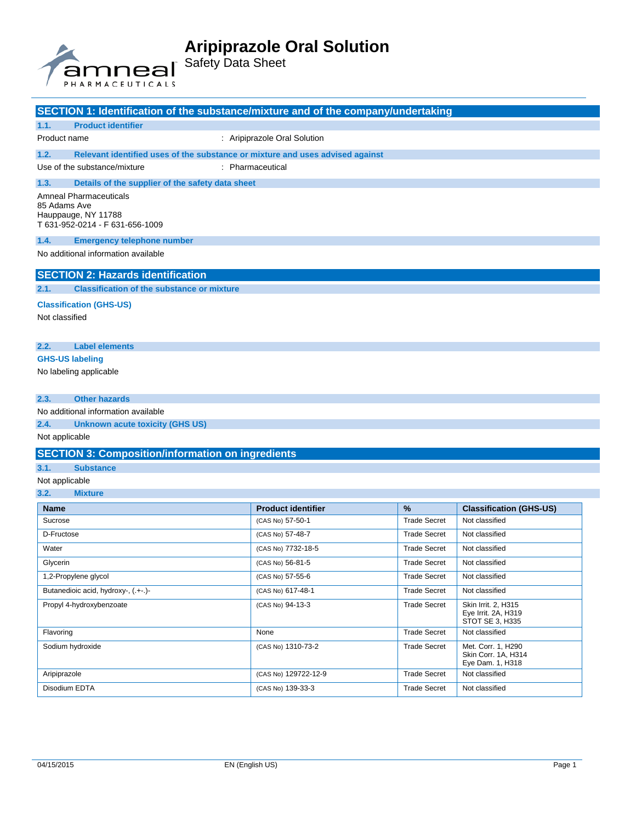

# Safety Data Sheet

| SECTION 1: Identification of the substance/mixture and of the company/undertaking |                                                  |                                                                               |
|-----------------------------------------------------------------------------------|--------------------------------------------------|-------------------------------------------------------------------------------|
| 1.1.                                                                              | <b>Product identifier</b>                        |                                                                               |
| Product name                                                                      |                                                  | : Aripiprazole Oral Solution                                                  |
| 1.2.                                                                              |                                                  | Relevant identified uses of the substance or mixture and uses advised against |
| Use of the substance/mixture<br>: Pharmaceutical                                  |                                                  |                                                                               |
| 1.3.                                                                              | Details of the supplier of the safety data sheet |                                                                               |
| Amneal Pharmaceuticals<br>85 Adams Ave                                            |                                                  |                                                                               |

Hauppauge, NY 11788 T 631-952-0214 - F 631-656-1009

#### **1.4. Emergency telephone number**

No additional information available

## **SECTION 2: Hazards identification**

**2.1. Classification of the substance or mixture**

## **Classification (GHS-US)**

Not classified

## **2.2. Label elements**

#### **GHS-US labeling**

No labeling applicable

#### **2.3. Other hazards**

No additional information available

## **2.4. Unknown acute toxicity (GHS US)**

## Not applicable

### **SECTION 3: Composition/information on ingredients**

## **3.1. Substance**

## Not applicable

#### **3.2. Mixture**

| <b>Name</b>                         | <b>Product identifier</b> | $\frac{9}{6}$       | <b>Classification (GHS-US)</b>                                |
|-------------------------------------|---------------------------|---------------------|---------------------------------------------------------------|
| Sucrose                             | (CAS No) 57-50-1          | <b>Trade Secret</b> | Not classified                                                |
| D-Fructose                          | (CAS No) 57-48-7          | Trade Secret        | Not classified                                                |
| Water                               | (CAS No) 7732-18-5        | <b>Trade Secret</b> | Not classified                                                |
| Glycerin                            | (CAS No) 56-81-5          | <b>Trade Secret</b> | Not classified                                                |
| 1,2-Propylene glycol                | (CAS No) 57-55-6          | Trade Secret        | Not classified                                                |
| Butanedioic acid, hydroxy-, (.+-.)- | (CAS No) 617-48-1         | <b>Trade Secret</b> | Not classified                                                |
| Propyl 4-hydroxybenzoate            | (CAS No) 94-13-3          | Trade Secret        | Skin Irrit. 2, H315<br>Eye Irrit. 2A, H319<br>STOT SE 3, H335 |
| Flavoring                           | None                      | <b>Trade Secret</b> | Not classified                                                |
| Sodium hydroxide                    | (CAS No) 1310-73-2        | <b>Trade Secret</b> | Met. Corr. 1, H290<br>Skin Corr. 1A, H314<br>Eye Dam. 1, H318 |
| Aripiprazole                        | (CAS No) 129722-12-9      | <b>Trade Secret</b> | Not classified                                                |
| Disodium EDTA                       | (CAS No) 139-33-3         | Trade Secret        | Not classified                                                |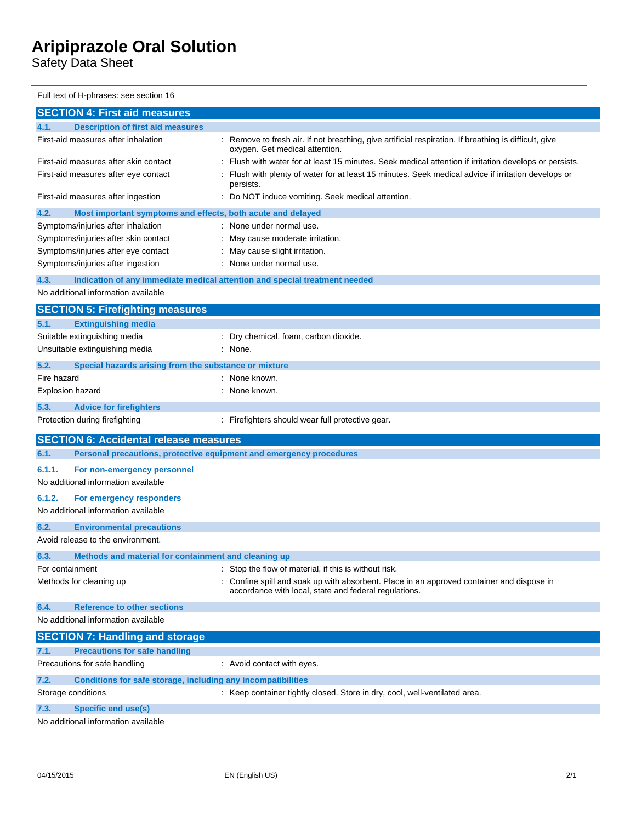Safety Data Sheet

Full text of H-phrases: see section 16

| <b>SECTION 4: First aid measures</b>                                               |                                                                                                                                                  |  |
|------------------------------------------------------------------------------------|--------------------------------------------------------------------------------------------------------------------------------------------------|--|
| <b>Description of first aid measures</b><br>4.1.                                   |                                                                                                                                                  |  |
| First-aid measures after inhalation                                                | : Remove to fresh air. If not breathing, give artificial respiration. If breathing is difficult, give<br>oxygen. Get medical attention.          |  |
| First-aid measures after skin contact                                              | Flush with water for at least 15 minutes. Seek medical attention if irritation develops or persists.                                             |  |
| First-aid measures after eye contact                                               | Flush with plenty of water for at least 15 minutes. Seek medical advice if irritation develops or<br>persists.                                   |  |
| First-aid measures after ingestion                                                 | Do NOT induce vomiting. Seek medical attention.                                                                                                  |  |
| 4.2.<br>Most important symptoms and effects, both acute and delayed                |                                                                                                                                                  |  |
| Symptoms/injuries after inhalation                                                 | : None under normal use.                                                                                                                         |  |
| Symptoms/injuries after skin contact                                               | May cause moderate irritation.                                                                                                                   |  |
| Symptoms/injuries after eye contact                                                | May cause slight irritation.                                                                                                                     |  |
| Symptoms/injuries after ingestion                                                  | : None under normal use.                                                                                                                         |  |
| 4.3.<br>Indication of any immediate medical attention and special treatment needed |                                                                                                                                                  |  |
| No additional information available                                                |                                                                                                                                                  |  |
| <b>SECTION 5: Firefighting measures</b>                                            |                                                                                                                                                  |  |
| <b>Extinguishing media</b><br>5.1.                                                 |                                                                                                                                                  |  |
| Suitable extinguishing media                                                       | : Dry chemical, foam, carbon dioxide.                                                                                                            |  |
| Unsuitable extinguishing media                                                     | : None.                                                                                                                                          |  |
| 5.2.<br>Special hazards arising from the substance or mixture                      |                                                                                                                                                  |  |
| Fire hazard                                                                        | None known.                                                                                                                                      |  |
| Explosion hazard                                                                   | : None known.                                                                                                                                    |  |
| 5.3.<br><b>Advice for firefighters</b>                                             |                                                                                                                                                  |  |
| Protection during firefighting                                                     | : Firefighters should wear full protective gear.                                                                                                 |  |
| <b>SECTION 6: Accidental release measures</b>                                      |                                                                                                                                                  |  |
| Personal precautions, protective equipment and emergency procedures<br>6.1.        |                                                                                                                                                  |  |
| 6.1.1.<br>For non-emergency personnel                                              |                                                                                                                                                  |  |
| No additional information available                                                |                                                                                                                                                  |  |
| 6.1.2.<br>For emergency responders                                                 |                                                                                                                                                  |  |
| No additional information available                                                |                                                                                                                                                  |  |
|                                                                                    |                                                                                                                                                  |  |
| 6.2.<br><b>Environmental precautions</b><br>Avoid release to the environment.      |                                                                                                                                                  |  |
|                                                                                    |                                                                                                                                                  |  |
| Methods and material for containment and cleaning up<br>6.3.                       |                                                                                                                                                  |  |
| For containment                                                                    | Stop the flow of material, if this is without risk.                                                                                              |  |
| Methods for cleaning up                                                            | Confine spill and soak up with absorbent. Place in an approved container and dispose in<br>accordance with local, state and federal regulations. |  |
| <b>Reference to other sections</b><br>6.4.                                         |                                                                                                                                                  |  |
| No additional information available                                                |                                                                                                                                                  |  |
| <b>SECTION 7: Handling and storage</b>                                             |                                                                                                                                                  |  |
| <b>Precautions for safe handling</b><br>7.1.                                       |                                                                                                                                                  |  |
| Precautions for safe handling                                                      | : Avoid contact with eyes.                                                                                                                       |  |
| 7.2.<br>Conditions for safe storage, including any incompatibilities               |                                                                                                                                                  |  |
| Storage conditions                                                                 | : Keep container tightly closed. Store in dry, cool, well-ventilated area.                                                                       |  |
| 7.3.<br><b>Specific end use(s)</b>                                                 |                                                                                                                                                  |  |
| No additional information available                                                |                                                                                                                                                  |  |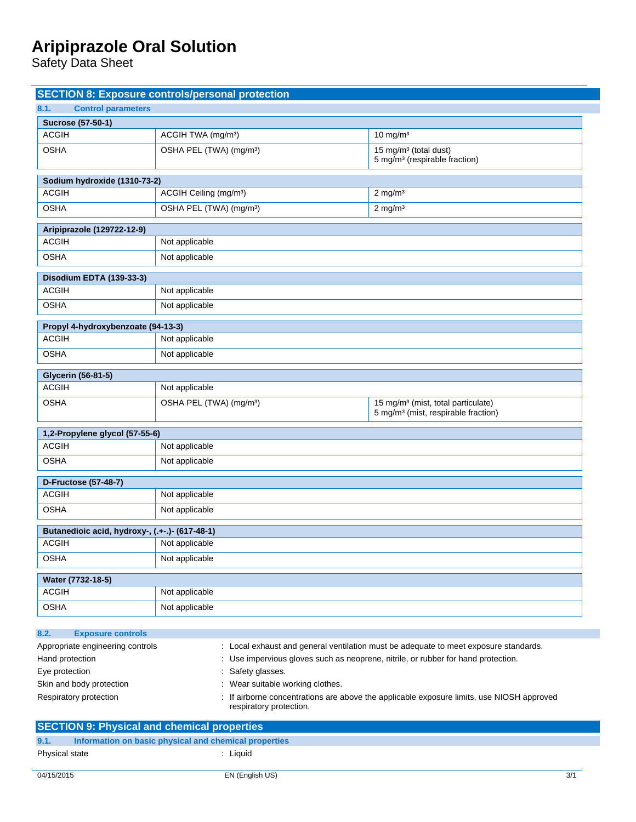Safety Data Sheet

|                                                                                                                                                | <b>SECTION 8: Exposure controls/personal protection</b> |  |                                                                                                   |
|------------------------------------------------------------------------------------------------------------------------------------------------|---------------------------------------------------------|--|---------------------------------------------------------------------------------------------------|
| 8.1.<br><b>Control parameters</b>                                                                                                              |                                                         |  |                                                                                                   |
| Sucrose (57-50-1)                                                                                                                              |                                                         |  |                                                                                                   |
| <b>ACGIH</b>                                                                                                                                   | ACGIH TWA (mg/m <sup>3</sup> )                          |  | 10 mg/m $3$                                                                                       |
| <b>OSHA</b>                                                                                                                                    | OSHA PEL (TWA) (mg/m <sup>3</sup> )                     |  | 15 mg/m <sup>3</sup> (total dust)<br>5 mg/m <sup>3</sup> (respirable fraction)                    |
| Sodium hydroxide (1310-73-2)                                                                                                                   |                                                         |  |                                                                                                   |
| <b>ACGIH</b>                                                                                                                                   | ACGIH Ceiling (mg/m <sup>3</sup> )                      |  | $2 \text{ mg/m}^3$                                                                                |
| <b>OSHA</b>                                                                                                                                    | OSHA PEL (TWA) (mg/m <sup>3</sup> )                     |  | $2$ mg/m <sup>3</sup>                                                                             |
| Aripiprazole (129722-12-9)                                                                                                                     |                                                         |  |                                                                                                   |
| <b>ACGIH</b>                                                                                                                                   | Not applicable                                          |  |                                                                                                   |
| <b>OSHA</b>                                                                                                                                    | Not applicable                                          |  |                                                                                                   |
| Disodium EDTA (139-33-3)                                                                                                                       |                                                         |  |                                                                                                   |
| <b>ACGIH</b>                                                                                                                                   | Not applicable                                          |  |                                                                                                   |
| <b>OSHA</b>                                                                                                                                    | Not applicable                                          |  |                                                                                                   |
| Propyl 4-hydroxybenzoate (94-13-3)                                                                                                             |                                                         |  |                                                                                                   |
| <b>ACGIH</b>                                                                                                                                   | Not applicable                                          |  |                                                                                                   |
| <b>OSHA</b>                                                                                                                                    | Not applicable                                          |  |                                                                                                   |
| Glycerin (56-81-5)                                                                                                                             |                                                         |  |                                                                                                   |
| <b>ACGIH</b>                                                                                                                                   | Not applicable                                          |  |                                                                                                   |
| <b>OSHA</b>                                                                                                                                    | OSHA PEL (TWA) (mg/m <sup>3</sup> )                     |  | 15 mg/m <sup>3</sup> (mist, total particulate)<br>5 mg/m <sup>3</sup> (mist, respirable fraction) |
|                                                                                                                                                |                                                         |  |                                                                                                   |
| 1,2-Propylene glycol (57-55-6)                                                                                                                 |                                                         |  |                                                                                                   |
| <b>ACGIH</b>                                                                                                                                   | Not applicable                                          |  |                                                                                                   |
| <b>OSHA</b>                                                                                                                                    | Not applicable                                          |  |                                                                                                   |
| <b>D-Fructose (57-48-7)</b>                                                                                                                    |                                                         |  |                                                                                                   |
| <b>ACGIH</b>                                                                                                                                   | Not applicable                                          |  |                                                                                                   |
| <b>OSHA</b>                                                                                                                                    | Not applicable                                          |  |                                                                                                   |
| Butanedioic acid, hydroxy-, (.+-.)- (617-48-1)                                                                                                 |                                                         |  |                                                                                                   |
| <b>ACGIH</b>                                                                                                                                   | Not applicable                                          |  |                                                                                                   |
| <b>OSHA</b>                                                                                                                                    | Not applicable                                          |  |                                                                                                   |
| Water (7732-18-5)                                                                                                                              |                                                         |  |                                                                                                   |
| <b>ACGIH</b>                                                                                                                                   | Not applicable                                          |  |                                                                                                   |
| <b>OSHA</b>                                                                                                                                    | Not applicable                                          |  |                                                                                                   |
| 8.2.<br><b>Exposure controls</b>                                                                                                               |                                                         |  |                                                                                                   |
| Appropriate engineering controls                                                                                                               |                                                         |  | : Local exhaust and general ventilation must be adequate to meet exposure standards.              |
| Hand protection<br>: Use impervious gloves such as neoprene, nitrile, or rubber for hand protection.                                           |                                                         |  |                                                                                                   |
| : Safety glasses.<br>Eye protection                                                                                                            |                                                         |  |                                                                                                   |
| Skin and body protection<br>: Wear suitable working clothes.                                                                                   |                                                         |  |                                                                                                   |
| : If airborne concentrations are above the applicable exposure limits, use NIOSH approved<br>Respiratory protection<br>respiratory protection. |                                                         |  |                                                                                                   |
|                                                                                                                                                | <b>SECTION 9: Physical and chemical properties</b>      |  |                                                                                                   |
| Information on basic physical and chemical properties<br>9.1.                                                                                  |                                                         |  |                                                                                                   |
| Physical state                                                                                                                                 | : Liquid                                                |  |                                                                                                   |
| 04/15/2015                                                                                                                                     | EN (English US)                                         |  | 3/1                                                                                               |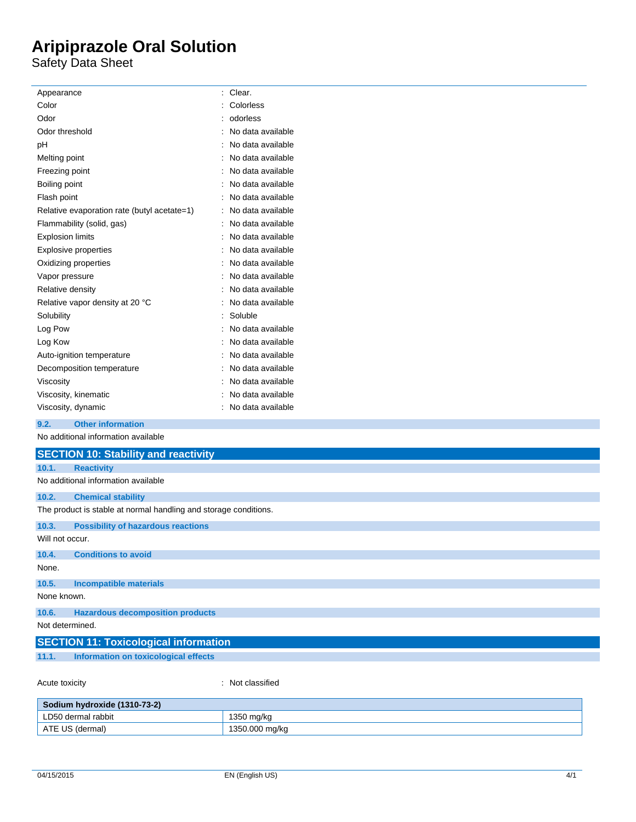Safety Data Sheet

| Appearance                                  | : Clear.            |
|---------------------------------------------|---------------------|
| Color                                       | Colorless           |
| Odor                                        | odorless            |
| Odor threshold                              | : No data available |
| pH                                          | No data available   |
| Melting point                               | No data available   |
| Freezing point                              | : No data available |
| Boiling point                               | : No data available |
| Flash point                                 | : No data available |
| Relative evaporation rate (butyl acetate=1) | : No data available |
| Flammability (solid, gas)                   | : No data available |
| <b>Explosion limits</b>                     | : No data available |
| <b>Explosive properties</b>                 | No data available   |
| Oxidizing properties                        | : No data available |
| Vapor pressure                              | : No data available |
| Relative density                            | : No data available |
| Relative vapor density at 20 °C             | : No data available |
| Solubility                                  | Soluble             |
| Log Pow                                     | : No data available |
| Log Kow                                     | : No data available |
| Auto-ignition temperature                   | : No data available |
| Decomposition temperature                   | No data available   |
| Viscosity                                   | : No data available |
| Viscosity, kinematic                        | : No data available |
| Viscosity, dynamic                          | : No data available |
| <b>Other information</b><br>9.2.            |                     |
| No additional information available         |                     |
| <b>SECTION 10: Stability and reactivity</b> |                     |
| <b>Reactivity</b><br>10.1.                  |                     |
| No additional information available         |                     |

### **10.2. Chemical stability**

The product is stable at normal handling and storage conditions .

**10.3. Possibility of hazardous reactions**  $Will not$ 

|  | VVIII NOT OCCUL. |  |
|--|------------------|--|
|  |                  |  |

| 10.4.       | <b>Conditions to avoid</b>              |
|-------------|-----------------------------------------|
| None.       |                                         |
| 10.5.       | Incompatible materials                  |
| None known. |                                         |
| 10.6.       | <b>Hazardous decomposition products</b> |

Not determined.

|       | <b>SECTION 11: Toxicological information</b> |
|-------|----------------------------------------------|
| 11.1. | Information on toxicological effects         |
|       |                                              |

Acute toxicity

: Not classified

| Sodium hydroxide (1310-73-2) |                |
|------------------------------|----------------|
| LD50 dermal rabbit           | 1350 mg/kg     |
| ATE US (dermal)              | 1350.000 mg/kg |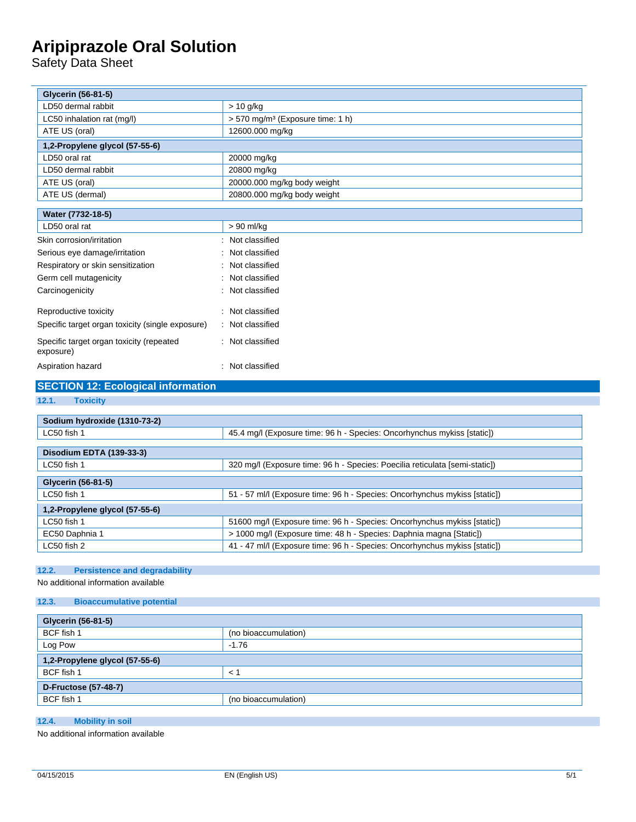Safety Data Sheet

| <b>Glycerin (56-81-5)</b>                             |                                                                             |
|-------------------------------------------------------|-----------------------------------------------------------------------------|
| LD50 dermal rabbit                                    | > 10 g/kg                                                                   |
| LC50 inhalation rat (mg/l)                            | > 570 mg/m <sup>3</sup> (Exposure time: 1 h)                                |
| ATE US (oral)                                         | 12600.000 mg/kg                                                             |
| 1,2-Propylene glycol (57-55-6)                        |                                                                             |
| LD50 oral rat                                         | 20000 mg/kg                                                                 |
| LD50 dermal rabbit                                    | 20800 mg/kg                                                                 |
| ATE US (oral)                                         | 20000.000 mg/kg body weight                                                 |
| ATE US (dermal)                                       | 20800.000 mg/kg body weight                                                 |
| Water (7732-18-5)                                     |                                                                             |
| LD50 oral rat                                         | > 90 ml/kg                                                                  |
| Skin corrosion/irritation                             | : Not classified                                                            |
| Serious eye damage/irritation                         | : Not classified                                                            |
| Respiratory or skin sensitization                     | : Not classified                                                            |
| Germ cell mutagenicity                                | : Not classified                                                            |
| Carcinogenicity                                       | : Not classified                                                            |
|                                                       |                                                                             |
| Reproductive toxicity                                 | : Not classified                                                            |
| Specific target organ toxicity (single exposure)      | : Not classified                                                            |
| Specific target organ toxicity (repeated<br>exposure) | : Not classified                                                            |
| Aspiration hazard                                     | : Not classified                                                            |
| <b>SECTION 12: Ecological information</b>             |                                                                             |
| 12.1.<br><b>Toxicity</b>                              |                                                                             |
|                                                       |                                                                             |
| Sodium hydroxide (1310-73-2)                          |                                                                             |
| LC50 fish 1                                           | 45.4 mg/l (Exposure time: 96 h - Species: Oncorhynchus mykiss [static])     |
| Disodium EDTA (139-33-3)                              |                                                                             |
| LC50 fish 1                                           | 320 mg/l (Exposure time: 96 h - Species: Poecilia reticulata [semi-static]) |
|                                                       |                                                                             |
| <b>Glycerin (56-81-5)</b>                             |                                                                             |
| LC50 fish 1                                           | 51 - 57 ml/l (Exposure time: 96 h - Species: Oncorhynchus mykiss [static])  |
| 1,2-Propylene glycol (57-55-6)                        |                                                                             |
| LC50 fish 1                                           | 51600 mg/l (Exposure time: 96 h - Species: Oncorhynchus mykiss [static])    |

#### **12.2. Persistence and degradability**

No additional information available

#### **12.3. Bioaccumulative potential**

| <b>Glycerin (56-81-5)</b>      |  |
|--------------------------------|--|
| (no bioaccumulation)           |  |
| $-1.76$                        |  |
| 1,2-Propylene glycol (57-55-6) |  |
| $\lt'$                         |  |
| <b>D-Fructose (57-48-7)</b>    |  |
| (no bioaccumulation)           |  |
|                                |  |

### **12.4. Mobility in soil**

No additional information available

EC50 Daphnia 1 > 1000 mg/l (Exposure time: 48 h - Species: Daphnia magna [Static]) LC50 fish 2 <br>
41 - 47 ml/l (Exposure time: 96 h - Species: Oncorhynchus mykiss [static])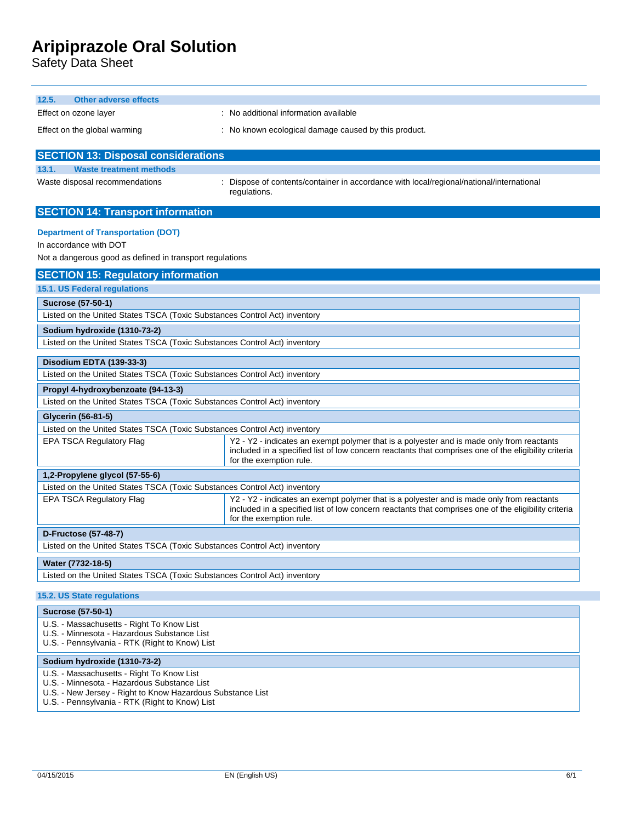Safety Data Sheet

| <b>Other adverse effects</b><br>12.5.                                                         |                                                                                                                                                                                                                              |  |
|-----------------------------------------------------------------------------------------------|------------------------------------------------------------------------------------------------------------------------------------------------------------------------------------------------------------------------------|--|
| Effect on ozone layer                                                                         | : No additional information available                                                                                                                                                                                        |  |
| Effect on the global warming                                                                  | : No known ecological damage caused by this product.                                                                                                                                                                         |  |
| <b>SECTION 13: Disposal considerations</b>                                                    |                                                                                                                                                                                                                              |  |
| 13.1.<br><b>Waste treatment methods</b>                                                       |                                                                                                                                                                                                                              |  |
| Waste disposal recommendations                                                                | Dispose of contents/container in accordance with local/regional/national/international                                                                                                                                       |  |
|                                                                                               | regulations.                                                                                                                                                                                                                 |  |
| <b>SECTION 14: Transport information</b>                                                      |                                                                                                                                                                                                                              |  |
| <b>Department of Transportation (DOT)</b>                                                     |                                                                                                                                                                                                                              |  |
| In accordance with DOT                                                                        |                                                                                                                                                                                                                              |  |
| Not a dangerous good as defined in transport regulations                                      |                                                                                                                                                                                                                              |  |
| <b>SECTION 15: Regulatory information</b>                                                     |                                                                                                                                                                                                                              |  |
| 15.1. US Federal regulations                                                                  |                                                                                                                                                                                                                              |  |
| Sucrose (57-50-1)                                                                             |                                                                                                                                                                                                                              |  |
| Listed on the United States TSCA (Toxic Substances Control Act) inventory                     |                                                                                                                                                                                                                              |  |
| Sodium hydroxide (1310-73-2)                                                                  |                                                                                                                                                                                                                              |  |
| Listed on the United States TSCA (Toxic Substances Control Act) inventory                     |                                                                                                                                                                                                                              |  |
| Disodium EDTA (139-33-3)                                                                      |                                                                                                                                                                                                                              |  |
| Listed on the United States TSCA (Toxic Substances Control Act) inventory                     |                                                                                                                                                                                                                              |  |
| Propyl 4-hydroxybenzoate (94-13-3)                                                            |                                                                                                                                                                                                                              |  |
| Listed on the United States TSCA (Toxic Substances Control Act) inventory                     |                                                                                                                                                                                                                              |  |
| Glycerin (56-81-5)                                                                            |                                                                                                                                                                                                                              |  |
| Listed on the United States TSCA (Toxic Substances Control Act) inventory                     |                                                                                                                                                                                                                              |  |
| <b>EPA TSCA Regulatory Flag</b>                                                               | Y2 - Y2 - indicates an exempt polymer that is a polyester and is made only from reactants<br>included in a specified list of low concern reactants that comprises one of the eligibility criteria<br>for the exemption rule. |  |
| 1,2-Propylene glycol (57-55-6)                                                                |                                                                                                                                                                                                                              |  |
| Listed on the United States TSCA (Toxic Substances Control Act) inventory                     |                                                                                                                                                                                                                              |  |
| <b>EPA TSCA Regulatory Flag</b>                                                               | Y2 - Y2 - indicates an exempt polymer that is a polyester and is made only from reactants<br>included in a specified list of low concern reactants that comprises one of the eligibility criteria<br>for the exemption rule. |  |
| <b>D-Fructose (57-48-7)</b>                                                                   |                                                                                                                                                                                                                              |  |
| Listed on the United States TSCA (Toxic Substances Control Act) inventory                     |                                                                                                                                                                                                                              |  |
| Water (7732-18-5)                                                                             |                                                                                                                                                                                                                              |  |
| Listed on the United States TSCA (Toxic Substances Control Act) inventory                     |                                                                                                                                                                                                                              |  |
| 15.2. US State regulations                                                                    |                                                                                                                                                                                                                              |  |
| <b>Sucrose (57-50-1)</b>                                                                      |                                                                                                                                                                                                                              |  |
| U.S. - Massachusetts - Right To Know List                                                     |                                                                                                                                                                                                                              |  |
| U.S. - Minnesota - Hazardous Substance List<br>U.S. - Pennsylvania - RTK (Right to Know) List |                                                                                                                                                                                                                              |  |
|                                                                                               |                                                                                                                                                                                                                              |  |
| Sodium hydroxide (1310-73-2)                                                                  |                                                                                                                                                                                                                              |  |
| U.S. - Massachusetts - Right To Know List                                                     |                                                                                                                                                                                                                              |  |

- U.S. Minnesota Hazardous Substance List
- U.S. New Jersey Right to Know Hazardous Substance List
- U.S. Pennsylvania RTK (Right to Know) List